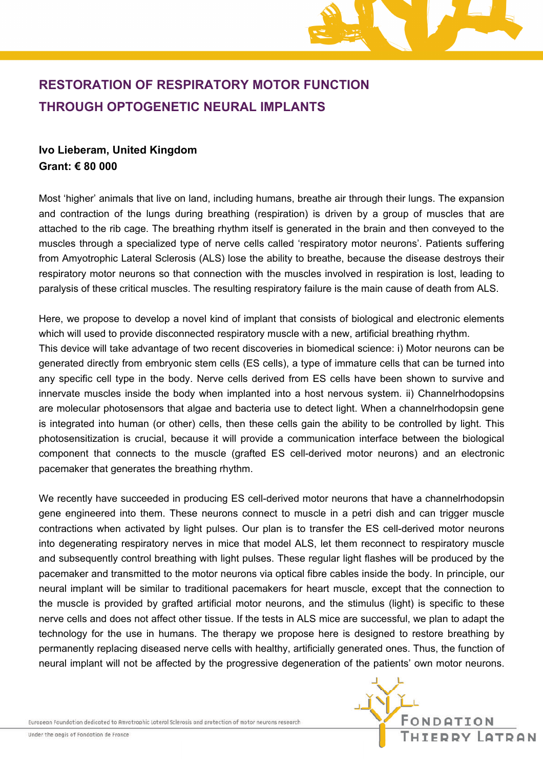

# **RESTORATION OF RESPIRATORY MOTOR FUNCTION THROUGH OPTOGENETIC NEURAL IMPLANTS**

## **Ivo Lieberam, United Kingdom Grant: € 80 000**

Most 'higher' animals that live on land, including humans, breathe air through their lungs. The expansion and contraction of the lungs during breathing (respiration) is driven by a group of muscles that are attached to the rib cage. The breathing rhythm itself is generated in the brain and then conveyed to the muscles through a specialized type of nerve cells called 'respiratory motor neurons'. Patients suffering from Amyotrophic Lateral Sclerosis (ALS) lose the ability to breathe, because the disease destroys their respiratory motor neurons so that connection with the muscles involved in respiration is lost, leading to paralysis of these critical muscles. The resulting respiratory failure is the main cause of death from ALS.

Here, we propose to develop a novel kind of implant that consists of biological and electronic elements which will used to provide disconnected respiratory muscle with a new, artificial breathing rhythm. This device will take advantage of two recent discoveries in biomedical science: i) Motor neurons can be generated directly from embryonic stem cells (ES cells), a type of immature cells that can be turned into any specific cell type in the body. Nerve cells derived from ES cells have been shown to survive and innervate muscles inside the body when implanted into a host nervous system. ii) Channelrhodopsins are molecular photosensors that algae and bacteria use to detect light. When a channelrhodopsin gene is integrated into human (or other) cells, then these cells gain the ability to be controlled by light. This photosensitization is crucial, because it will provide a communication interface between the biological component that connects to the muscle (grafted ES cell-derived motor neurons) and an electronic pacemaker that generates the breathing rhythm.

We recently have succeeded in producing ES cell-derived motor neurons that have a channelrhodopsin gene engineered into them. These neurons connect to muscle in a petri dish and can trigger muscle contractions when activated by light pulses. Our plan is to transfer the ES cell-derived motor neurons into degenerating respiratory nerves in mice that model ALS, let them reconnect to respiratory muscle and subsequently control breathing with light pulses. These regular light flashes will be produced by the pacemaker and transmitted to the motor neurons via optical fibre cables inside the body. In principle, our neural implant will be similar to traditional pacemakers for heart muscle, except that the connection to the muscle is provided by grafted artificial motor neurons, and the stimulus (light) is specific to these nerve cells and does not affect other tissue. If the tests in ALS mice are successful, we plan to adapt the technology for the use in humans. The therapy we propose here is designed to restore breathing by permanently replacing diseased nerve cells with healthy, artificially generated ones. Thus, the function of neural implant will not be affected by the progressive degeneration of the patients' own motor neurons.

European Foundation dedicated to Amyotrophic Lateral Sclerosis and protection of motor neurons research

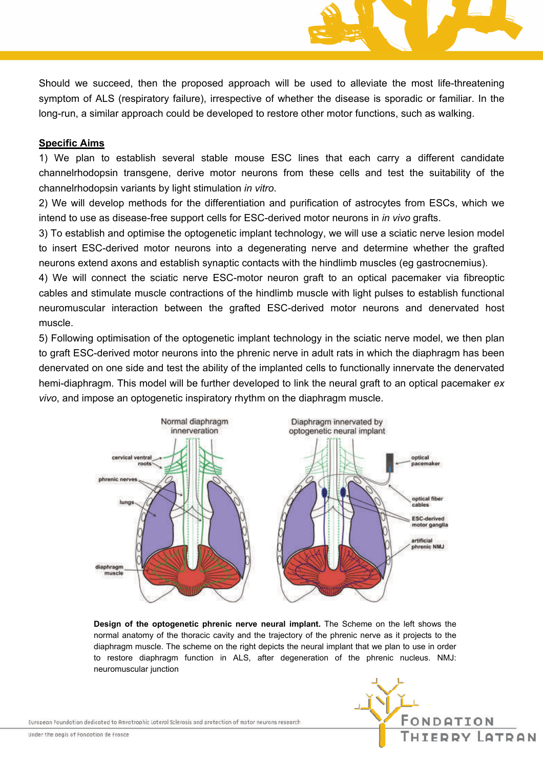Should we succeed, then the proposed approach will be used to alleviate the most life-threatening symptom of ALS (respiratory failure), irrespective of whether the disease is sporadic or familiar. In the long-run, a similar approach could be developed to restore other motor functions, such as walking.

### **Specific Aims**

1) We plan to establish several stable mouse ESC lines that each carry a different candidate channelrhodopsin transgene, derive motor neurons from these cells and test the suitability of the channelrhodopsin variants by light stimulation *in vitro*.

2) We will develop methods for the differentiation and purification of astrocytes from ESCs, which we intend to use as disease-free support cells for ESC-derived motor neurons in *in vivo* grafts.

3) To establish and optimise the optogenetic implant technology, we will use a sciatic nerve lesion model to insert ESC-derived motor neurons into a degenerating nerve and determine whether the grafted neurons extend axons and establish synaptic contacts with the hindlimb muscles (eg gastrocnemius).

4) We will connect the sciatic nerve ESC-motor neuron graft to an optical pacemaker via fibreoptic cables and stimulate muscle contractions of the hindlimb muscle with light pulses to establish functional neuromuscular interaction between the grafted ESC-derived motor neurons and denervated host muscle.

5) Following optimisation of the optogenetic implant technology in the sciatic nerve model, we then plan to graft ESC-derived motor neurons into the phrenic nerve in adult rats in which the diaphragm has been denervated on one side and test the ability of the implanted cells to functionally innervate the denervated hemi-diaphragm. This model will be further developed to link the neural graft to an optical pacemaker *ex vivo*, and impose an optogenetic inspiratory rhythm on the diaphragm muscle.



**Design of the optogenetic phrenic nerve neural implant.** The Scheme on the left shows the normal anatomy of the thoracic cavity and the trajectory of the phrenic nerve as it projects to the diaphragm muscle. The scheme on the right depicts the neural implant that we plan to use in order to restore diaphragm function in ALS, after degeneration of the phrenic nucleus. NMJ: neuromuscular junction

European Foundation dedicated to Amyotrophic Lateral Sclerosis and protection of motor neurons research

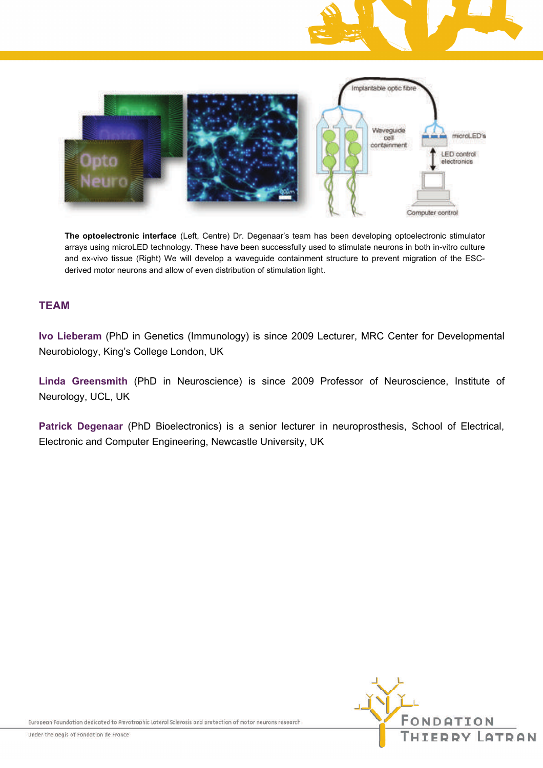



**The optoelectronic interface** (Left, Centre) Dr. Degenaar's team has been developing optoelectronic stimulator arrays using microLED technology. These have been successfully used to stimulate neurons in both in-vitro culture and ex-vivo tissue (Right) We will develop a waveguide containment structure to prevent migration of the ESCderived motor neurons and allow of even distribution of stimulation light.

### **TEAM**

**Ivo Lieberam** (PhD in Genetics (Immunology) is since 2009 Lecturer, MRC Center for Developmental Neurobiology, King's College London, UK

**Linda Greensmith** (PhD in Neuroscience) is since 2009 Professor of Neuroscience, Institute of Neurology, UCL, UK

**Patrick Degenaar** (PhD Bioelectronics) is a senior lecturer in neuroprosthesis, School of Electrical, Electronic and Computer Engineering, Newcastle University, UK



European Foundation dedicated to Amyotrophic Lateral Sclerosis and protection of motor neurons research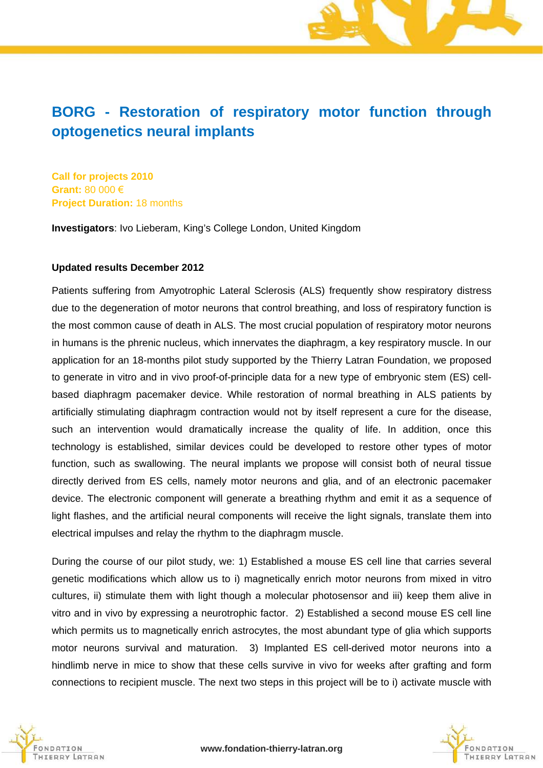# **BORG - Restoration of respiratory motor function through optogenetics neural implants**

**Call for projects 2010 Grant:** 80 000 € **Project Duration:** 18 months

**Investigators**: Ivo Lieberam, King's College London, United Kingdom

#### **Updated results December 2012**

Patients suffering from Amyotrophic Lateral Sclerosis (ALS) frequently show respiratory distress due to the degeneration of motor neurons that control breathing, and loss of respiratory function is the most common cause of death in ALS. The most crucial population of respiratory motor neurons in humans is the phrenic nucleus, which innervates the diaphragm, a key respiratory muscle. In our application for an 18-months pilot study supported by the Thierry Latran Foundation, we proposed to generate in vitro and in vivo proof-of-principle data for a new type of embryonic stem (ES) cellbased diaphragm pacemaker device. While restoration of normal breathing in ALS patients by artificially stimulating diaphragm contraction would not by itself represent a cure for the disease, such an intervention would dramatically increase the quality of life. In addition, once this technology is established, similar devices could be developed to restore other types of motor function, such as swallowing. The neural implants we propose will consist both of neural tissue directly derived from ES cells, namely motor neurons and glia, and of an electronic pacemaker device. The electronic component will generate a breathing rhythm and emit it as a sequence of light flashes, and the artificial neural components will receive the light signals, translate them into electrical impulses and relay the rhythm to the diaphragm muscle.

During the course of our pilot study, we: 1) Established a mouse ES cell line that carries several genetic modifications which allow us to i) magnetically enrich motor neurons from mixed in vitro cultures, ii) stimulate them with light though a molecular photosensor and iii) keep them alive in vitro and in vivo by expressing a neurotrophic factor. 2) Established a second mouse ES cell line which permits us to magnetically enrich astrocytes, the most abundant type of glia which supports motor neurons survival and maturation. 3) Implanted ES cell-derived motor neurons into a hindlimb nerve in mice to show that these cells survive in vivo for weeks after grafting and form connections to recipient muscle. The next two steps in this project will be to i) activate muscle with